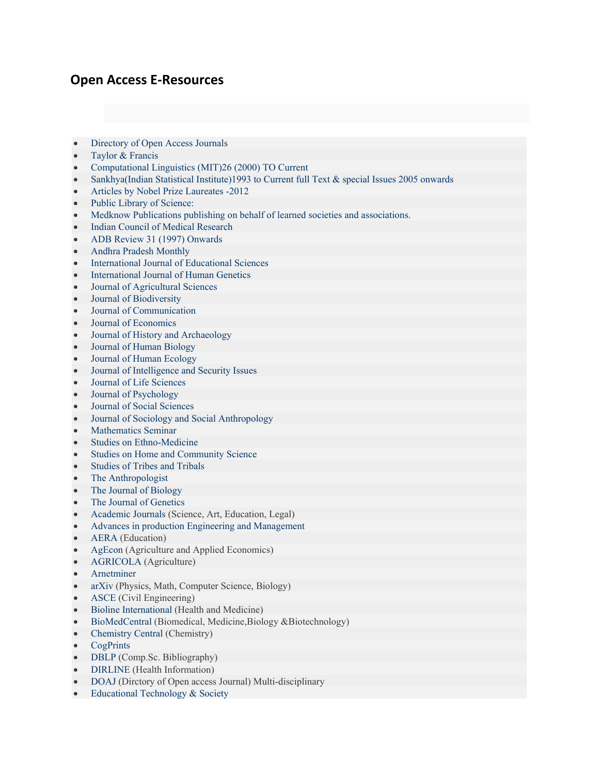## **Open Access E-Resources**

- [Directory](http://www.doaj.org/) of Open Access Journals
- [Taylor & Francis](http://www.tandfonline.com/page/openaccess/openjournals)
- Computational Linguistics (MIT)26 [\(2000\) TO Current](http://www.mitpressjournals.org/loi/coli)
- [Sankhya\(Indian](http://sankhya.isical.ac.in/index.html) Statistical Institute)1993 to Current full Text & special Issues 2005 onwards
- Articles by Nobel Prize [Laureates -2012](http://www.info.sciverse.com/sciencedirect/2012nobel-laureates-free-articles?utm_source=sciencedirect.com&utm_medium=link&utm_campaign=sd.comnobelfreearticle)
- Public Library of [Science:](http://www.plos.org/)
- Medknow Publications publishing on behalf of learned societies and [associations.](http://www.medknow.com/)
- Indian Council of Medical [Research](http://www.icmr.nic.in/Publications/Publications.html)
- ADB Review 31 (1997) [Onwards](http://www.adb.org/Documents/Periodicals/ADB_Review/default.asp)
- Andhra Pradesh [Monthly](http://www.andhrapradeshpatrika.com/issues/2010/oct/eng/page1.asp)
- [International](http://www.krepublishers.com/02-Journals/IJES/IJES-00-0-000-000-2009-Web/IJES-00-0-000-000-2009-1-Cover.htm) Journal of Educational Sciences
- [International](http://www.krepublishers.com/02-Journals/IJHG/IJHG-00-0-000-000-2001-Web/IJHG-00-0-000-000-2001-1-Cover.htm) Journal of Human Genetics
- Journal of [Agricultural](http://www.krepublishers.com/02-Journals/J-Bio/J-Bio-00-0-000-000-2010-Web/J-Bio-00-0-000-000-2010-1-Cover.htm) Sciences
- Journal of [Biodiversity](http://www.krepublishers.com/02-Journals/JBD/JBD-00-0-000-000-2010-Web/JBD-00-0-000-000-2010-1-Cover.htm)
- Journal of [Communication](http://www.krepublishers.com/02-Journals/JE/JE-00-0-000-000-2010-Web/JE-00-0-000-000-2010-1-Cover.htm)
- Journal of [Economics](http://www.krepublishers.com/02-Journals/JE/JE-00-0-000-000-2010-Web/JE-00-0-000-000-2010-1-Cover.htm)
- Journal of History and [Archaeology](http://www.krepublishers.com/02-Journals/JHA/JHA-00-0-000-000-2010-Web/JHA-00-0-000-000-2010-1-Cover.htm)
- Journal of Human [Biology](http://www.krepublishers.com/02-Journals/JHB/JHB-00-0-000-000-2010-Web/JHB-00-0-000-000-2010-1-Cover.htm)
- Journal of Human [Ecology](http://www.krepublishers.com/02-Journals/JHE/JHE-00-0-000-000-1990-Web/JHE-00-0-000-000-1990-1-Cover.htm)
- Journal of [Intelligence](http://www.krepublishers.com/02-Journals/JISI/JISI-00-0-000-000-2001-Web/JISI-00-0-000-000-2010-1-Cover.htm) and Security Issues
- Journal of Life [Sciences](http://www.krepublishers.com/02-Journals/JLS/JLS-00-0-000-000-2009-Web/JLS-00-0-000-000-2009-1-Cover.htm)
- Journal of [Psychology](http://www.krepublishers.com/02-Journals/JP/JP-00-0-000-000-2010-Web/JP-00-0-000-000-2009-1-Cover.htm)
- Journal of Social [Sciences](http://www.krepublishers.com/02-Journals/JSS/JSS-00-0-000-000-1997-Web/JSS-00-0-000-000-1997-1-Cover.htm)
- Journal of Sociology and Social [Anthropology](http://www.krepublishers.com/02-Journals/JSSA/JSSA-00-0-000-000-2010-Web/JSSA-00-0-000-000-2010-1-Cover.htm)
- [Mathematics](http://www.krepublishers.com/02-Journals/MS/MS-00-0-000-000-2010-Web/MS-00-0-000-000-2010-1-Cover.htm) Seminar
- Studies on [Ethno-Medicine](http://www.krepublishers.com/02-Journals/S-EM/EM-00-0-000-000-2007-Web/EM-00-0-000-000-2007-1-Cover.htm)
- Studies on Home and [Community](http://www.krepublishers.com/02-Journals/S-HCS/HCS-00-0-000-000-2007-Web/HCS-00-0-000-000-2007-1-Cover.htm) Science
- [Studies](http://www.krepublishers.com/02-Journals/T%20&%20T/T%20&%20T-00-0-000-000-2003-Web/T%20&%20T-00-0-000-000-2003-1-Cover.htm) of Tribes and Tribals
- [The Anthropologist](http://www.krepublishers.com/02-Journals/T-Anth/Anth-00-0-000-000-1999-Web/Anth-00-0-000-000-1999-1-Cover.htm)
- [The Journal](http://www.krepublishers.com/02-Journals/T-JB/JB-00-0-000-000-2010-Web/JB-00-0-000-000-2010-1-Cover.htm) of Biology
- [The Journal](http://www.krepublishers.com/02-Journals/T-JG/JG-00-0-000-000-2010-Web/JG-00-0-000-000-2010-Cover.htm) of Genetics
- [Academic](http://www.academicjournals.org/about.htm) Journals (Science, Art, Education, Legal)
- Advances in [production Engineering](http://apem-journal.org/) and Management
- **[AERA](http://www.aera.net/Default.aspx?id=274)** (Education)
- [AgEcon](http://ageconsearch.umn.edu/) (Agriculture and Applied Economics)
- [AGRICOLA](http://agricola.nal.usda.gov/) (Agriculture)
- [Arnetminer](http://arnetminer.org/)
- [arXiv](http://arxiv.org/) (Physics, Math, Computer Science, Biology)
- [ASCE](http://www.asce.org/cedb/) (Civil Engineering)
- Bioline [International](http://www.bioline.org.br/) (Health and Medicine)
- [BioMedCentral](http://www.biomedcentral.com/) (Biomedical, Medicine,Biology &Biotechnology)
- [Chemistry](http://www.chemistrycentral.com/) Central (Chemistry)
- [CogPrints](http://cogprints.org/)
- [DBLP](http://www.informatik.uni-trier.de/%7Eley/db/) (Comp.Sc. Bibliography)
- [DIRLINE](http://dirline.nlm.nih.gov/) (Health Information)
- [DOAJ](http://www.doaj.org/) (Dirctory of Open access Journal) Multi-disciplinary
- Educational [Technology & Society](http://www.ifets.info/)